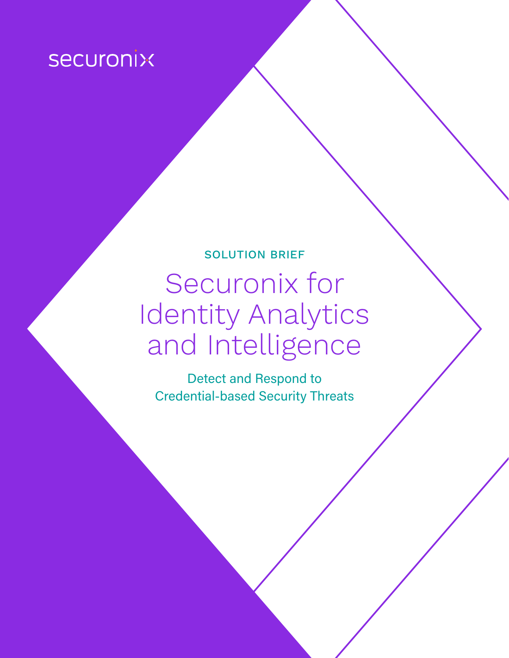# **Securonix**

# SOLUTION BRIEF Securonix for Identity Analytics and Intelligence

Detect and Respond to Credential-based Security Threats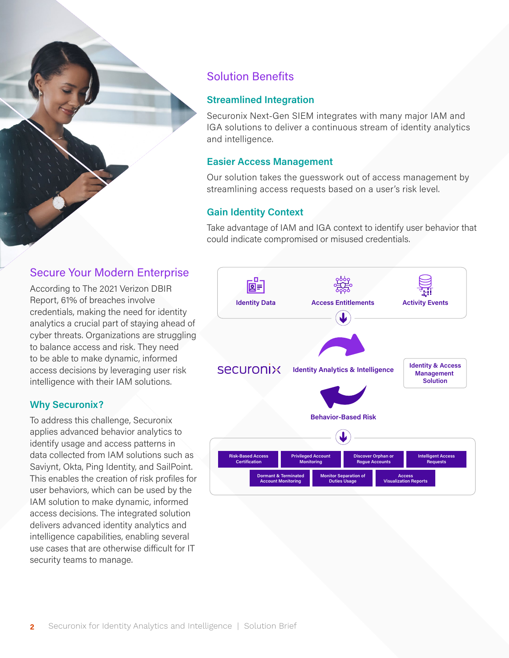## Solution Benefits

#### **Streamlined Integration**

Securonix Next-Gen SIEM integrates with many major IAM and IGA solutions to deliver a continuous stream of identity analytics and intelligence.

#### **Easier Access Management**

Our solution takes the guesswork out of access management by streamlining access requests based on a user's risk level.

#### **Gain Identity Context**

Take advantage of IAM and IGA context to identify user behavior that could indicate compromised or misused credentials.

#### Secure Your Modern Enterprise

According to The 2021 Verizon DBIR Report, 61% of breaches involve credentials, making the need for identity analytics a crucial part of staying ahead of cyber threats. Organizations are struggling to balance access and risk. They need to be able to make dynamic, informed access decisions by leveraging user risk intelligence with their IAM solutions.

#### **Why Securonix?**

To address this challenge, Securonix applies advanced behavior analytics to identify usage and access patterns in data collected from IAM solutions such as Saviynt, Okta, Ping Identity, and SailPoint. This enables the creation of risk profiles for user behaviors, which can be used by the IAM solution to make dynamic, informed access decisions. The integrated solution delivers advanced identity analytics and intelligence capabilities, enabling several use cases that are otherwise difficult for IT security teams to manage.